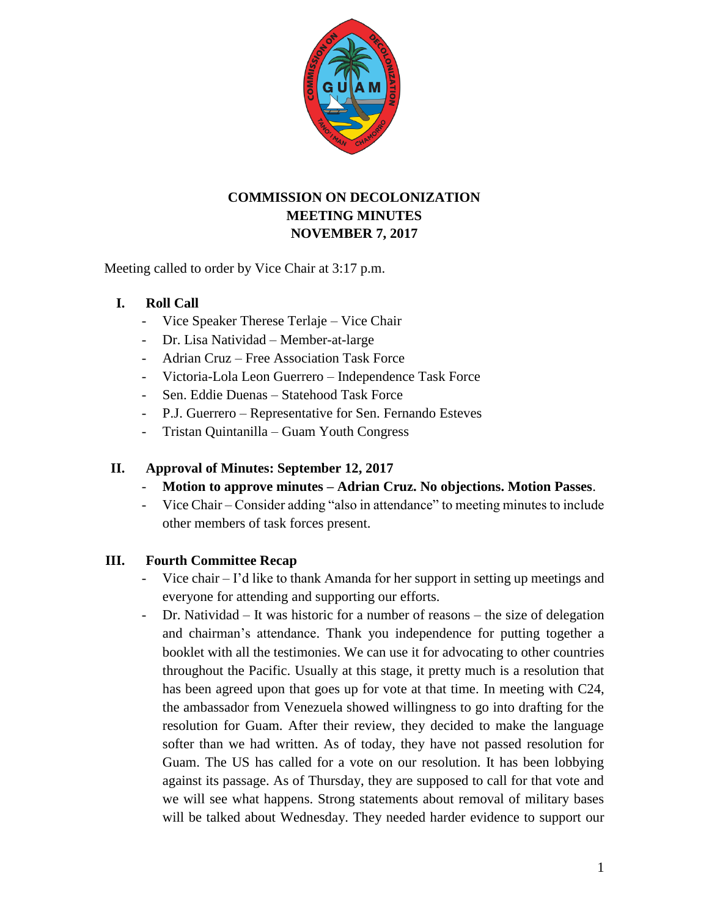

# **COMMISSION ON DECOLONIZATION MEETING MINUTES NOVEMBER 7, 2017**

Meeting called to order by Vice Chair at 3:17 p.m.

# **I. Roll Call**

- Vice Speaker Therese Terlaje Vice Chair
- Dr. Lisa Natividad Member-at-large
- Adrian Cruz Free Association Task Force
- Victoria-Lola Leon Guerrero Independence Task Force
- Sen. Eddie Duenas Statehood Task Force
- P.J. Guerrero Representative for Sen. Fernando Esteves
- Tristan Quintanilla Guam Youth Congress

# **II. Approval of Minutes: September 12, 2017**

- **Motion to approve minutes – Adrian Cruz. No objections. Motion Passes**.
- Vice Chair Consider adding "also in attendance" to meeting minutes to include other members of task forces present.

# **III. Fourth Committee Recap**

- Vice chair I'd like to thank Amanda for her support in setting up meetings and everyone for attending and supporting our efforts.
- Dr. Natividad It was historic for a number of reasons the size of delegation and chairman's attendance. Thank you independence for putting together a booklet with all the testimonies. We can use it for advocating to other countries throughout the Pacific. Usually at this stage, it pretty much is a resolution that has been agreed upon that goes up for vote at that time. In meeting with C24, the ambassador from Venezuela showed willingness to go into drafting for the resolution for Guam. After their review, they decided to make the language softer than we had written. As of today, they have not passed resolution for Guam. The US has called for a vote on our resolution. It has been lobbying against its passage. As of Thursday, they are supposed to call for that vote and we will see what happens. Strong statements about removal of military bases will be talked about Wednesday. They needed harder evidence to support our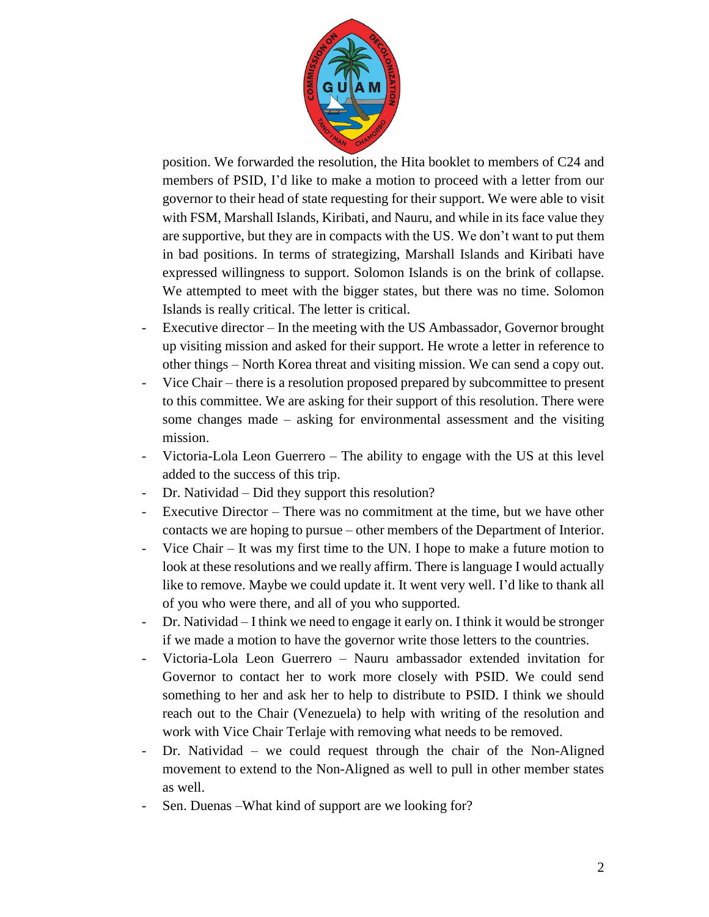

position. We forwarded the resolution, the Hita booklet to members of C24 and members of PSID, I'd like to make a motion to proceed with a letter from our governor to their head of state requesting for their support. We were able to visit with FSM, Marshall Islands, Kiribati, and Nauru, and while in its face value they are supportive, but they are in compacts with the US. We don't want to put them in bad positions. In terms of strategizing, Marshall Islands and Kiribati have expressed willingness to support. Solomon Islands is on the brink of collapse. We attempted to meet with the bigger states, but there was no time. Solomon Islands is really critical. The letter is critical.

- Executive director In the meeting with the US Ambassador, Governor brought up visiting mission and asked for their support. He wrote a letter in reference to other things – North Korea threat and visiting mission. We can send a copy out.
- Vice Chair there is a resolution proposed prepared by subcommittee to present to this committee. We are asking for their support of this resolution. There were some changes made – asking for environmental assessment and the visiting mission.
- Victoria-Lola Leon Guerrero The ability to engage with the US at this level added to the success of this trip.
- Dr. Natividad Did they support this resolution?
- Executive Director There was no commitment at the time, but we have other contacts we are hoping to pursue – other members of the Department of Interior.
- Vice Chair It was my first time to the UN. I hope to make a future motion to look at these resolutions and we really affirm. There is language I would actually like to remove. Maybe we could update it. It went very well. I'd like to thank all of you who were there, and all of you who supported.
- Dr. Natividad I think we need to engage it early on. I think it would be stronger if we made a motion to have the governor write those letters to the countries.
- Victoria-Lola Leon Guerrero Nauru ambassador extended invitation for Governor to contact her to work more closely with PSID. We could send something to her and ask her to help to distribute to PSID. I think we should reach out to the Chair (Venezuela) to help with writing of the resolution and work with Vice Chair Terlaje with removing what needs to be removed.
- Dr. Natividad we could request through the chair of the Non-Aligned movement to extend to the Non-Aligned as well to pull in other member states as well.
- Sen. Duenas –What kind of support are we looking for?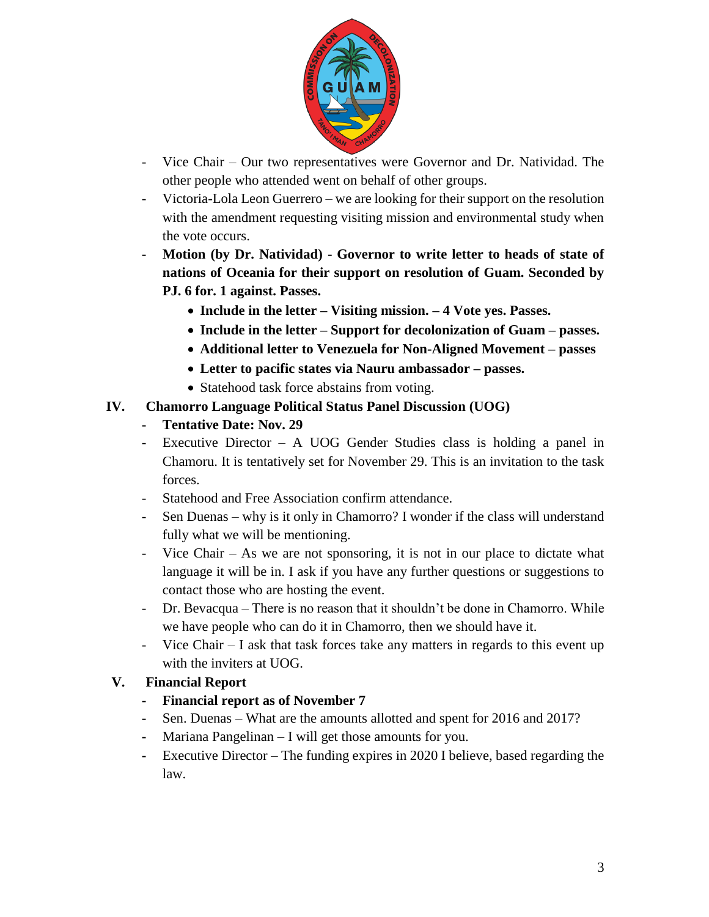

- Vice Chair Our two representatives were Governor and Dr. Natividad. The other people who attended went on behalf of other groups.
- Victoria-Lola Leon Guerrero we are looking for their support on the resolution with the amendment requesting visiting mission and environmental study when the vote occurs.
- **- Motion (by Dr. Natividad) - Governor to write letter to heads of state of nations of Oceania for their support on resolution of Guam. Seconded by PJ. 6 for. 1 against. Passes.** 
	- **Include in the letter – Visiting mission. – 4 Vote yes. Passes.**
	- **Include in the letter – Support for decolonization of Guam – passes.**
	- **Additional letter to Venezuela for Non-Aligned Movement – passes**
	- **Letter to pacific states via Nauru ambassador – passes.**
	- Statehood task force abstains from voting.

### **IV. Chamorro Language Political Status Panel Discussion (UOG)**

- **- Tentative Date: Nov. 29**
- Executive Director A UOG Gender Studies class is holding a panel in Chamoru. It is tentatively set for November 29. This is an invitation to the task forces.
- Statehood and Free Association confirm attendance.
- Sen Duenas why is it only in Chamorro? I wonder if the class will understand fully what we will be mentioning.
- Vice Chair As we are not sponsoring, it is not in our place to dictate what language it will be in. I ask if you have any further questions or suggestions to contact those who are hosting the event.
- Dr. Bevacqua There is no reason that it shouldn't be done in Chamorro. While we have people who can do it in Chamorro, then we should have it.
- Vice Chair I ask that task forces take any matters in regards to this event up with the inviters at UOG.

# **V. Financial Report**

- **- Financial report as of November 7**
- **-** Sen. Duenas What are the amounts allotted and spent for 2016 and 2017?
- **-** Mariana Pangelinan I will get those amounts for you.
- **-** Executive Director The funding expires in 2020 I believe, based regarding the law.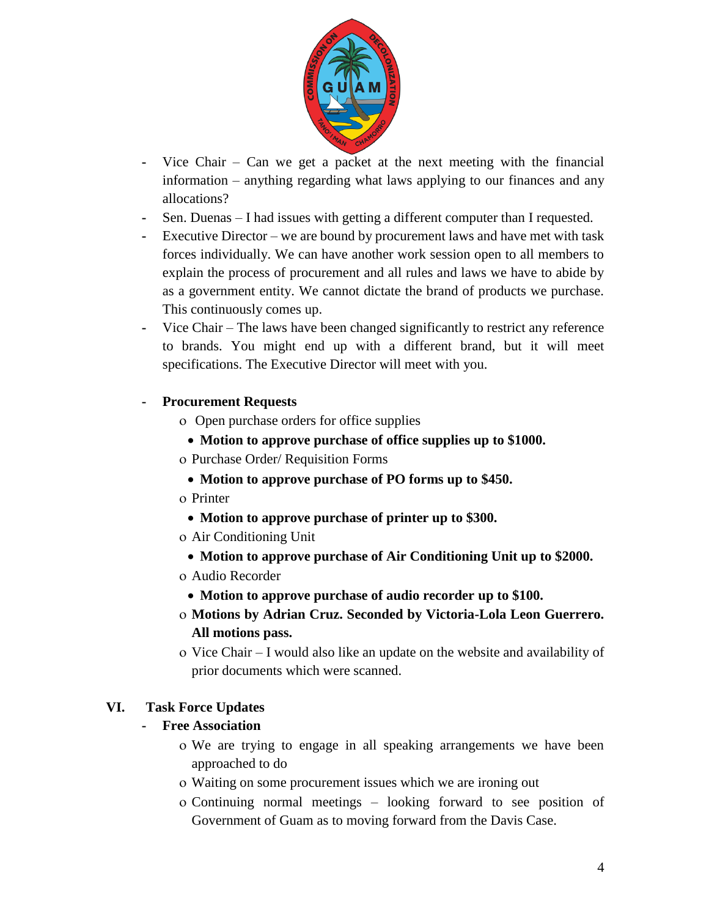

- **-** Vice Chair Can we get a packet at the next meeting with the financial information – anything regarding what laws applying to our finances and any allocations?
- **-** Sen. Duenas I had issues with getting a different computer than I requested.
- **-** Executive Director we are bound by procurement laws and have met with task forces individually. We can have another work session open to all members to explain the process of procurement and all rules and laws we have to abide by as a government entity. We cannot dictate the brand of products we purchase. This continuously comes up.
- **-** Vice Chair The laws have been changed significantly to restrict any reference to brands. You might end up with a different brand, but it will meet specifications. The Executive Director will meet with you.
- **- Procurement Requests**
	- Open purchase orders for office supplies
	- **Motion to approve purchase of office supplies up to \$1000.**
	- Purchase Order/ Requisition Forms
	- **Motion to approve purchase of PO forms up to \$450.**
	- o Printer
	- **Motion to approve purchase of printer up to \$300.**
	- Air Conditioning Unit
		- **Motion to approve purchase of Air Conditioning Unit up to \$2000.**
	- Audio Recorder
		- **Motion to approve purchase of audio recorder up to \$100.**
	- **Motions by Adrian Cruz. Seconded by Victoria-Lola Leon Guerrero. All motions pass.**
	- Vice Chair I would also like an update on the website and availability of prior documents which were scanned.

### **VI. Task Force Updates**

### **- Free Association**

- We are trying to engage in all speaking arrangements we have been approached to do
- Waiting on some procurement issues which we are ironing out
- Continuing normal meetings looking forward to see position of Government of Guam as to moving forward from the Davis Case.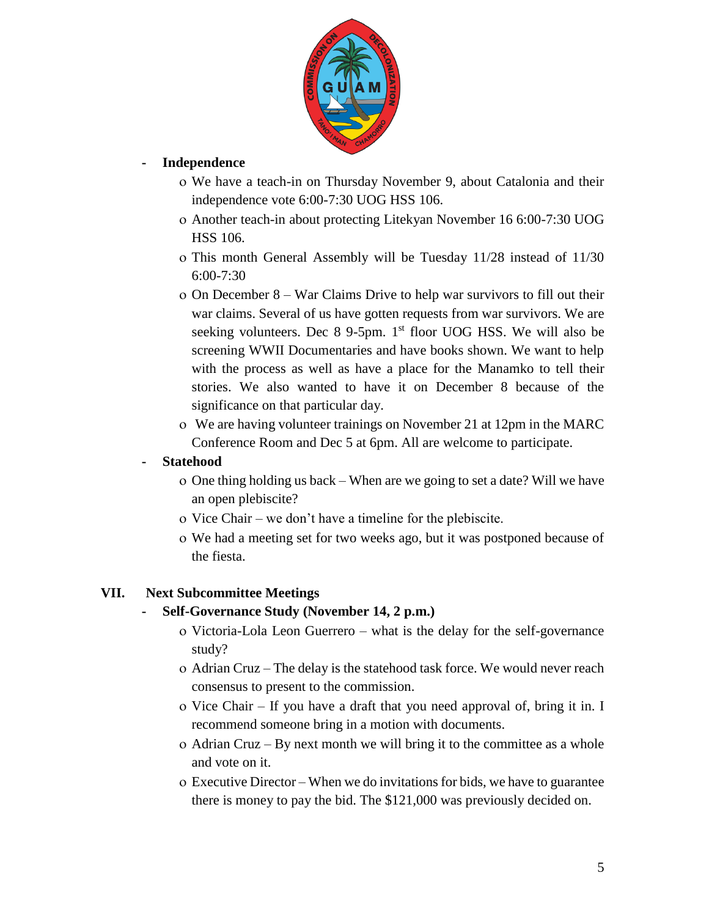

### **- Independence**

- We have a teach-in on Thursday November 9, about Catalonia and their independence vote 6:00-7:30 UOG HSS 106.
- Another teach-in about protecting Litekyan November 16 6:00-7:30 UOG HSS 106.
- This month General Assembly will be Tuesday 11/28 instead of 11/30 6:00-7:30
- On December 8 War Claims Drive to help war survivors to fill out their war claims. Several of us have gotten requests from war survivors. We are seeking volunteers. Dec  $8$  9-5pm. 1<sup>st</sup> floor UOG HSS. We will also be screening WWII Documentaries and have books shown. We want to help with the process as well as have a place for the Manamko to tell their stories. We also wanted to have it on December 8 because of the significance on that particular day.
- We are having volunteer trainings on November 21 at 12pm in the MARC Conference Room and Dec 5 at 6pm. All are welcome to participate.

### **- Statehood**

- One thing holding us back When are we going to set a date? Will we have an open plebiscite?
- o Vice Chair we don't have a timeline for the plebiscite.
- We had a meeting set for two weeks ago, but it was postponed because of the fiesta.

# **VII. Next Subcommittee Meetings**

### **- Self-Governance Study (November 14, 2 p.m.)**

- Victoria-Lola Leon Guerrero what is the delay for the self-governance study?
- Adrian Cruz The delay is the statehood task force. We would never reach consensus to present to the commission.
- o Vice Chair If you have a draft that you need approval of, bring it in. I recommend someone bring in a motion with documents.
- Adrian Cruz By next month we will bring it to the committee as a whole and vote on it.
- Executive Director When we do invitations for bids, we have to guarantee there is money to pay the bid. The \$121,000 was previously decided on.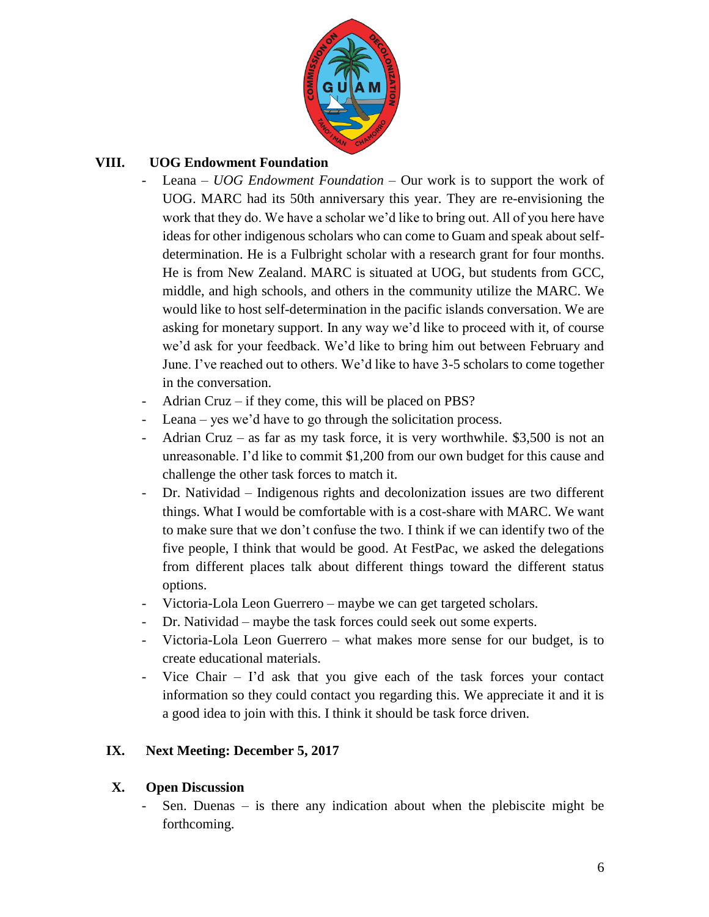

# **VIII. UOG Endowment Foundation**

- Leana *UOG Endowment Foundation* Our work is to support the work of UOG. MARC had its 50th anniversary this year. They are re-envisioning the work that they do. We have a scholar we'd like to bring out. All of you here have ideas for other indigenous scholars who can come to Guam and speak about selfdetermination. He is a Fulbright scholar with a research grant for four months. He is from New Zealand. MARC is situated at UOG, but students from GCC, middle, and high schools, and others in the community utilize the MARC. We would like to host self-determination in the pacific islands conversation. We are asking for monetary support. In any way we'd like to proceed with it, of course we'd ask for your feedback. We'd like to bring him out between February and June. I've reached out to others. We'd like to have 3-5 scholars to come together in the conversation.
- Adrian Cruz if they come, this will be placed on PBS?
- Leana yes we'd have to go through the solicitation process.
- Adrian Cruz as far as my task force, it is very worthwhile.  $$3,500$  is not an unreasonable. I'd like to commit \$1,200 from our own budget for this cause and challenge the other task forces to match it.
- Dr. Natividad Indigenous rights and decolonization issues are two different things. What I would be comfortable with is a cost-share with MARC. We want to make sure that we don't confuse the two. I think if we can identify two of the five people, I think that would be good. At FestPac, we asked the delegations from different places talk about different things toward the different status options.
- Victoria-Lola Leon Guerrero maybe we can get targeted scholars.
- Dr. Natividad maybe the task forces could seek out some experts.
- Victoria-Lola Leon Guerrero what makes more sense for our budget, is to create educational materials.
- Vice Chair I'd ask that you give each of the task forces your contact information so they could contact you regarding this. We appreciate it and it is a good idea to join with this. I think it should be task force driven.

# **IX. Next Meeting: December 5, 2017**

### **X. Open Discussion**

Sen. Duenas  $-$  is there any indication about when the plebiscite might be forthcoming.